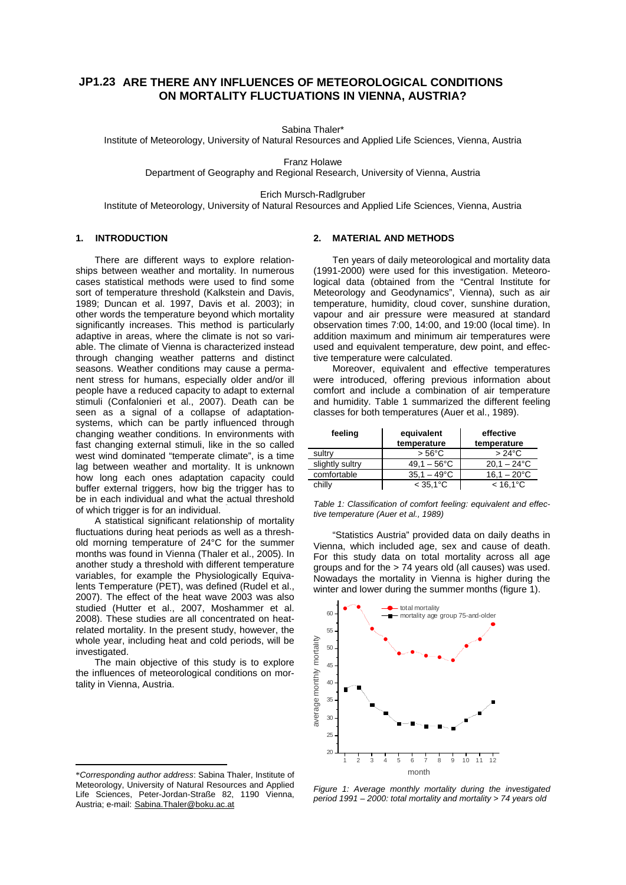# **JP1.23 ARE THERE ANY INFLUENCES OF METEOROLOGICAL CONDITIONS ON MORTALITY FLUCTUATIONS IN VIENNA, AUSTRIA?**

Sabina Thaler\*

Institute of Meteorology, University of Natural Resources and Applied Life Sciences, Vienna, Austria

Franz Holawe

Department of Geography and Regional Research, University of Vienna, Austria

Erich Mursch-Radlgruber

Institute of Meteorology, University of Natural Resources and Applied Life Sciences, Vienna, Austria

# **1. INTRODUCTION**

There are different ways to explore relationships between weather and mortality. In numerous cases statistical methods were used to find some sort of temperature threshold (Kalkstein and Davis, 1989; Duncan et al. 1997, Davis et al. 2003); in other words the temperature beyond which mortality significantly increases. This method is particularly adaptive in areas, where the climate is not so variable. The climate of Vienna is characterized instead through changing weather patterns and distinct seasons. Weather conditions may cause a permanent stress for humans, especially older and/or ill people have a reduced capacity to adapt to external stimuli (Confalonieri et al., 2007). Death can be seen as a signal of a collapse of adaptationsystems, which can be partly influenced through changing weather conditions. In environments with fast changing external stimuli, like in the so called west wind dominated "temperate climate", is a time lag between weather and mortality. It is unknown how long each ones adaptation capacity could buffer external triggers, how big the trigger has to be in each individual and what the actual threshold of which trigger is for an individual.

A statistical significant relationship of mortality fluctuations during heat periods as well as a threshold morning temperature of 24°C for the summer months was found in Vienna (Thaler et al., 2005). In another study a threshold with different temperature variables, for example the Physiologically Equivalents Temperature (PET), was defined (Rudel et al., 2007). The effect of the heat wave 2003 was also studied (Hutter et al., 2007, Moshammer et al. 2008). These studies are all concentrated on heatrelated mortality. In the present study, however, the whole year, including heat and cold periods, will be investigated.

The main objective of this study is to explore the influences of meteorological conditions on mortality in Vienna, Austria.

1

## **2. MATERIAL AND METHODS**

Ten years of daily meteorological and mortality data (1991-2000) were used for this investigation. Meteorological data (obtained from the "Central Institute for Meteorology and Geodynamics", Vienna), such as air temperature, humidity, cloud cover, sunshine duration, vapour and air pressure were measured at standard observation times 7:00, 14:00, and 19:00 (local time). In addition maximum and minimum air temperatures were used and equivalent temperature, dew point, and effective temperature were calculated.

Moreover, equivalent and effective temperatures were introduced, offering previous information about comfort and include a combination of air temperature and humidity. Table 1 summarized the different feeling classes for both temperatures (Auer et al., 1989).

| feeling         | equivalent<br>temperature | effective<br>temperature |
|-----------------|---------------------------|--------------------------|
| sultry          | $> 56^{\circ}$ C          | $>24^{\circ}$ C          |
| slightly sultry | $49.1 - 56^{\circ}$ C     | $20.1 - 24$ °C           |
| comfortable     | $35.1 - 49^{\circ}$ C     | $16.1 - 20^{\circ}$ C    |
| chilly          | $< 35.1^{\circ}C$         | $< 16.1^{\circ}$ C       |

*Table 1: Classification of comfort feeling: equivalent and effective temperature (Auer et al., 1989)* 

"Statistics Austria" provided data on daily deaths in Vienna, which included age, sex and cause of death. For this study data on total mortality across all age groups and for the > 74 years old (all causes) was used. Nowadays the mortality in Vienna is higher during the winter and lower during the summer months (figure 1).



*Figure 1: Average monthly mortality during the investigated period 1991 – 2000: total mortality and mortality > 74 years old* 

<sup>\*</sup>*Corresponding author address*: Sabina Thaler, Institute of Meteorology, University of Natural Resources and Applied Life Sciences, Peter-Jordan-Straße 82, 1190 Vienna, Austria; e-mail: Sabina.Thaler@boku.ac.at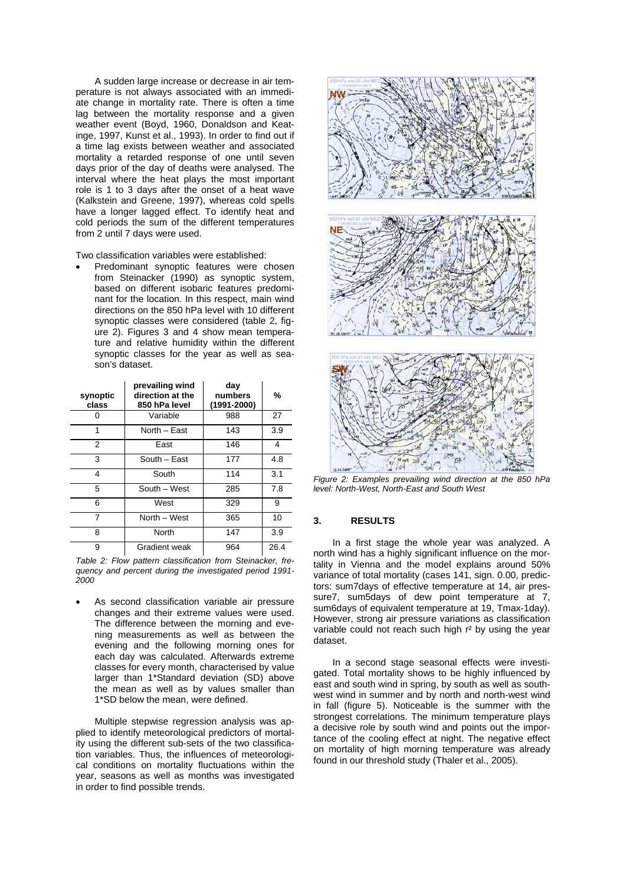A sudden large increase or decrease in air temperature is not always associated with an immediate change in mortality rate. There is often a time lag between the mortality response and a given weather event (Boyd, 1960, Donaldson and Keatinge, 1997, Kunst et al., 1993). In order to find out if a time lag exists between weather and associated mortality a retarded response of one until seven days prior of the day of deaths were analysed. The interval where the heat plays the most important role is 1 to 3 days after the onset of a heat wave (Kalkstein and Greene, 1997), whereas cold spells have a longer lagged effect. To identify heat and cold periods the sum of the different temperatures from 2 until 7 days were used.

Two classification variables were established:

Predominant synoptic features were chosen from Steinacker (1990) as synoptic system, based on different isobaric features predominant for the location. In this respect, main wind directions on the 850 hPa level with 10 different synoptic classes were considered (table 2, figure 2). Figures 3 and 4 show mean temperature and relative humidity within the different synoptic classes for the year as well as season's dataset.

| synoptic<br>class | prevailing wind<br>direction at the<br>850 hPa level | day<br>numbers<br>$(1991 - 2000)$ | %    |
|-------------------|------------------------------------------------------|-----------------------------------|------|
|                   | Variable                                             | 988                               | 27   |
| 1                 | North - East                                         | 143                               | 3.9  |
| 2                 | East                                                 | 146                               | 4    |
| 3                 | South - East                                         | 177                               | 4.8  |
| 4                 | South                                                | 114                               | 3.1  |
| 5                 | South - West                                         | 285                               | 7.8  |
| 6                 | West                                                 | 329                               | 9    |
| 7                 | North - West                                         | 365                               | 10   |
| 8                 | North                                                | 147                               | 3.9  |
| 9                 | Gradient weak                                        | 964                               | 26.4 |

*Table 2: Flow pattern classification from Steinacker, frequency and percent during the investigated period 1991- 2000* 

As second classification variable air pressure changes and their extreme values were used. The difference between the morning and evening measurements as well as between the evening and the following morning ones for each day was calculated. Afterwards extreme classes for every month, characterised by value larger than 1\*Standard deviation (SD) above the mean as well as by values smaller than 1\*SD below the mean, were defined.

Multiple stepwise regression analysis was applied to identify meteorological predictors of mortality using the different sub-sets of the two classification variables. Thus, the influences of meteorological conditions on mortality fluctuations within the year, seasons as well as months was investigated in order to find possible trends.



*Figure 2: Examples prevailing wind direction at the 850 hPa level: North-West, North-East and South West* 

# **3. RESULTS**

In a first stage the whole year was analyzed. A north wind has a highly significant influence on the mortality in Vienna and the model explains around 50% variance of total mortality (cases 141, sign. 0.00, predictors: sum7days of effective temperature at 14, air pressure7, sum5days of dew point temperature at 7, sum6days of equivalent temperature at 19, Tmax-1day). However, strong air pressure variations as classification variable could not reach such high r² by using the year dataset.

In a second stage seasonal effects were investigated. Total mortality shows to be highly influenced by east and south wind in spring, by south as well as southwest wind in summer and by north and north-west wind in fall (figure 5). Noticeable is the summer with the strongest correlations. The minimum temperature plays a decisive role by south wind and points out the importance of the cooling effect at night. The negative effect on mortality of high morning temperature was already found in our threshold study (Thaler et al., 2005).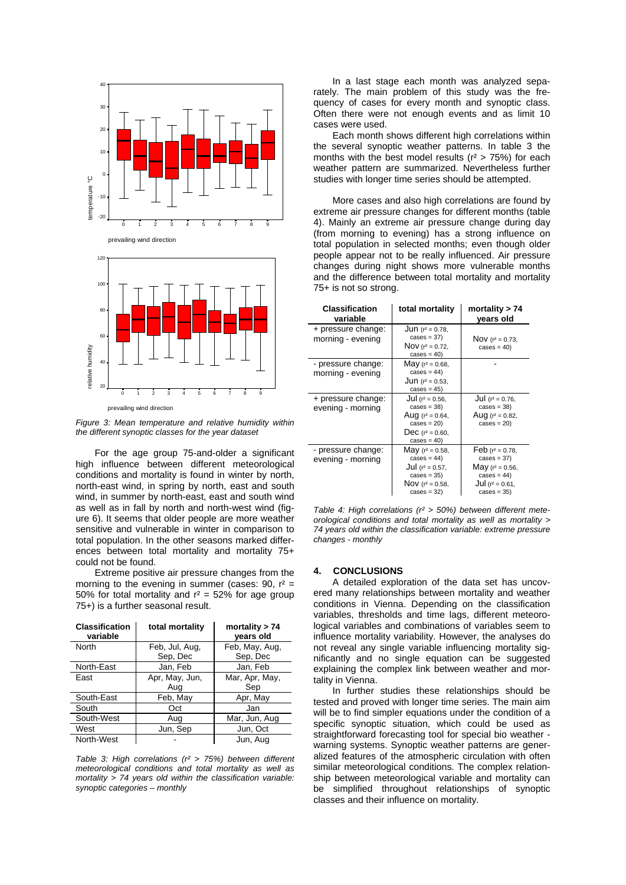



prevailing wind direction

*Figure 3: Mean temperature and relative humidity within the different synoptic classes for the year dataset* 

For the age group 75-and-older a significant high influence between different meteorological conditions and mortality is found in winter by north, north-east wind, in spring by north, east and south wind, in summer by north-east, east and south wind as well as in fall by north and north-west wind (figure 6). It seems that older people are more weather sensitive and vulnerable in winter in comparison to total population. In the other seasons marked differences between total mortality and mortality 75+ could not be found.

Extreme positive air pressure changes from the morning to the evening in summer (cases:  $90$ ,  $r^2 =$ 50% for total mortality and  $r^2 = 52$ % for age group 75+) is a further seasonal result.

| <b>Classification</b><br>variable | total mortality            | mortality $> 74$<br>vears old |
|-----------------------------------|----------------------------|-------------------------------|
| North                             | Feb, Jul, Aug,<br>Sep, Dec | Feb, May, Aug,<br>Sep, Dec    |
| North-East                        | Jan, Feb                   | Jan, Feb                      |
| East                              | Apr, May, Jun,<br>Aug      | Mar, Apr, May,<br>Sep         |
| South-East                        | Feb, May                   | Apr, May                      |
| South                             | Oct                        | Jan                           |
| South-West                        | Aug                        | Mar, Jun, Aug                 |
| West                              | Jun, Sep                   | Jun, Oct                      |
| North-West                        |                            | Jun, Aug                      |

*Table 3: High correlations (r² > 75%) between different meteorological conditions and total mortality as well as mortality > 74 years old within the classification variable: synoptic categories – monthly* 

In a last stage each month was analyzed separately. The main problem of this study was the frequency of cases for every month and synoptic class. Often there were not enough events and as limit 10 cases were used.

Each month shows different high correlations within the several synoptic weather patterns. In table 3 the months with the best model results ( $r^2 > 75\%$ ) for each weather pattern are summarized. Nevertheless further studies with longer time series should be attempted.

More cases and also high correlations are found by extreme air pressure changes for different months (table 4). Mainly an extreme air pressure change during day (from morning to evening) has a strong influence on total population in selected months; even though older people appear not to be really influenced. Air pressure changes during night shows more vulnerable months and the difference between total mortality and mortality 75+ is not so strong.

| <b>Classification</b><br>variable       | total mortality                                                                                                     | mortality $> 74$<br>vears old                                                                                    |
|-----------------------------------------|---------------------------------------------------------------------------------------------------------------------|------------------------------------------------------------------------------------------------------------------|
| + pressure change:<br>morning - evening | <b>Jun</b> ( $r^2 = 0.78$ ,<br>$cases = 37)$<br>Nov ( $r^2$ = 0.72,<br>$cases = 40$                                 | Nov $(r^2 = 0.73)$<br>$cases = 40)$                                                                              |
| - pressure change:<br>morning - evening | May $(r^2 = 0.68,$<br>$cases = 44)$<br><b>Jun</b> ( $r^2 = 0.53$ ,<br>$cases = 45)$                                 |                                                                                                                  |
| + pressure change:<br>evening - morning | Jul ( $r^2$ = 0.56,<br>$cases = 38)$<br>Aug $(r^2 = 0.64,$<br>$cases = 20$<br>Dec $(r^2 = 0.60)$ ,<br>$cases = 40)$ | Jul $(r^2 = 0.76)$<br>$cases = 38)$<br>Aug $(r^2 = 0.82)$<br>$cases = 20)$                                       |
| - pressure change:<br>evening - morning | May $(r^2 = 0.58,$<br>$cases = 44)$<br>Jul $(r^2 = 0.57)$ ,<br>$cases = 35)$<br>Nov $(r^2 = 0.58)$<br>$cases = 32)$ | Feb $(r^2 = 0.78$<br>$cases = 37)$<br>May $(r^2 = 0.56)$<br>$cases = 44)$<br>Jul $(r^2 = 0.61)$<br>$cases = 35)$ |

*Table 4: High correlations (r² > 50%) between different meteorological conditions and total mortality as well as mortality > 74 years old within the classification variable: extreme pressure changes - monthly* 

## **4. CONCLUSIONS**

A detailed exploration of the data set has uncovered many relationships between mortality and weather conditions in Vienna. Depending on the classification variables, thresholds and time lags, different meteorological variables and combinations of variables seem to influence mortality variability. However, the analyses do not reveal any single variable influencing mortality significantly and no single equation can be suggested explaining the complex link between weather and mortality in Vienna.

In further studies these relationships should be tested and proved with longer time series. The main aim will be to find simpler equations under the condition of a specific synoptic situation, which could be used as straightforward forecasting tool for special bio weather warning systems. Synoptic weather patterns are generalized features of the atmospheric circulation with often similar meteorological conditions. The complex relationship between meteorological variable and mortality can be simplified throughout relationships of synoptic classes and their influence on mortality.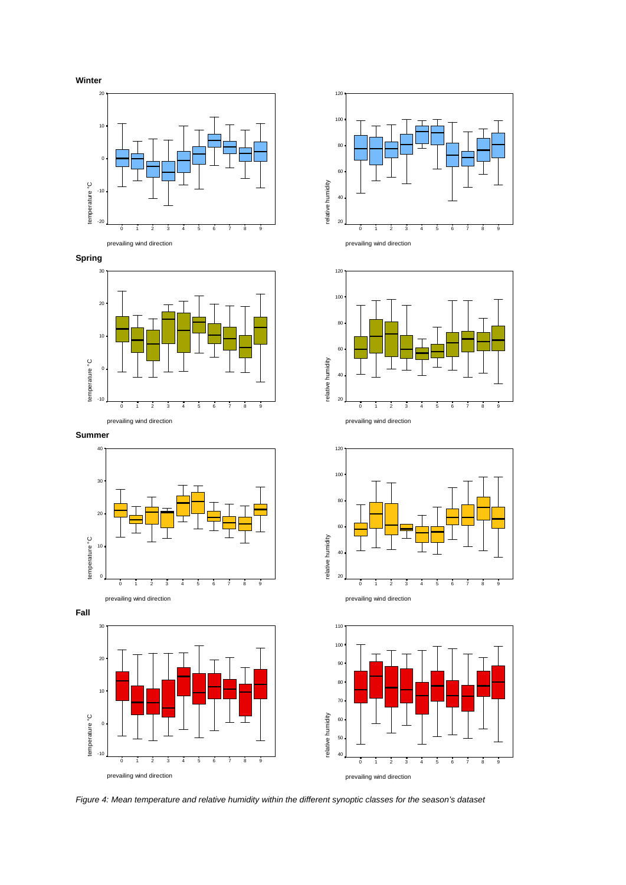





**Summer** 















*Figure 4: Mean temperature and relative humidity within the different synoptic classes for the season's dataset*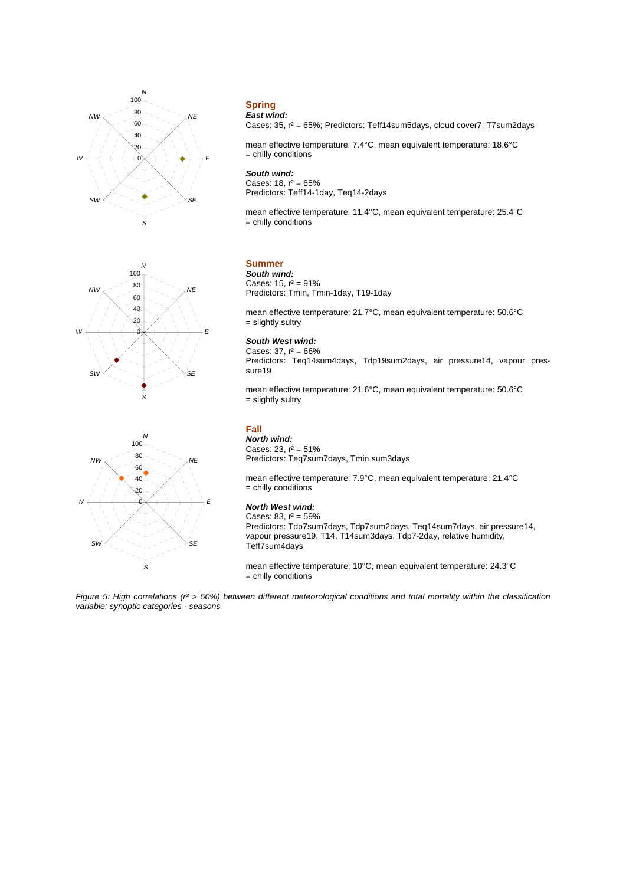



#### **Spring**  *East wind:*

Cases: 35, r² = 65%; Predictors: Teff14sum5days, cloud cover7, T7sum2days

mean effective temperature: 7.4°C, mean equivalent temperature: 18.6°C  $=$  chilly conditions

#### *South wind:*

Cases:  $18, r^2 = 65\%$ Predictors: Teff14-1day, Teq14-2days

mean effective temperature: 11.4°C, mean equivalent temperature: 25.4°C = chilly conditions

# **Summer**

*South wind:*  Cases:  $15. r^2 = 91\%$ Predictors: Tmin, Tmin-1day, T19-1day

mean effective temperature: 21.7°C, mean equivalent temperature: 50.6°C = slightly sultry

## *South West wind:*

Cases:  $37, r^2 = 66\%$ Predictors: Teq14sum4days, Tdp19sum2days, air pressure14, vapour pressure19

mean effective temperature: 21.6°C, mean equivalent temperature: 50.6°C = slightly sultry



# **Fall**

*North wind:*  Cases: 23,  $r^2 = 51\%$ Predictors: Teq7sum7days, Tmin sum3days

mean effective temperature: 7.9°C, mean equivalent temperature: 21.4°C = chilly conditions

#### *North West wind:*

Cases:  $83, r^2 = 59\%$ Predictors: Tdp7sum7days, Tdp7sum2days, Teq14sum7days, air pressure14, vapour pressure19, T14, T14sum3days, Tdp7-2day, relative humidity, Teff7sum4days

mean effective temperature: 10°C, mean equivalent temperature: 24.3°C = chilly conditions

*Figure 5: High correlations (r² > 50%) between different meteorological conditions and total mortality within the classification variable: synoptic categories - seasons*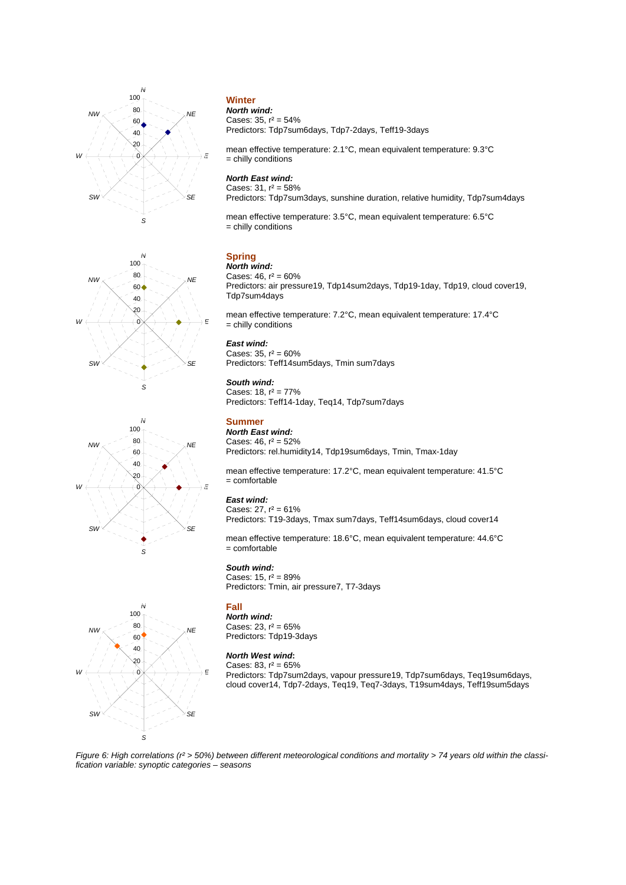





# Predictors: Tdp7sum6days, Tdp7-2days, Teff19-3days

mean effective temperature: 2.1°C, mean equivalent temperature: 9.3°C = chilly conditions

# *North East wind:*

Cases:  $31, r^2 = 58\%$ Predictors: Tdp7sum3days, sunshine duration, relative humidity, Tdp7sum4days

mean effective temperature: 3.5°C, mean equivalent temperature: 6.5°C = chilly conditions

# **Spring**

*North wind:*  Cases:  $46, r^2 = 60\%$ Predictors: air pressure19, Tdp14sum2days, Tdp19-1day, Tdp19, cloud cover19, Tdp7sum4days

mean effective temperature: 7.2°C, mean equivalent temperature: 17.4°C = chilly conditions

#### *East wind:*

Cases:  $35. r^2 = 60\%$ Predictors: Teff14sum5days, Tmin sum7days

#### *South wind:*

Cases:  $18, r^2 = 77\%$ Predictors: Teff14-1day, Teq14, Tdp7sum7days

# **Summer**

*North East wind:*  Cases:  $46, r^2 = 52\%$ Predictors: rel.humidity14, Tdp19sum6days, Tmin, Tmax-1day

mean effective temperature: 17.2°C, mean equivalent temperature: 41.5°C = comfortable

## *East wind:*

Cases:  $27, r^2 = 61\%$ Predictors: T19-3days, Tmax sum7days, Teff14sum6days, cloud cover14

mean effective temperature: 18.6°C, mean equivalent temperature: 44.6°C = comfortable

## *South wind:*

Cases:  $15, r^2 = 89\%$ Predictors: Tmin, air pressure7, T7-3days

# **Fall**

*North wind:*  Cases: 23,  $r^2 = 65\%$ Predictors: Tdp19-3days

#### *North West wind***:**

Cases: 83,  $r^2 = 65\%$ Predictors: Tdp7sum2days, vapour pressure19, Tdp7sum6days, Teq19sum6days, cloud cover14, Tdp7-2days, Teq19, Teq7-3days, T19sum4days, Teff19sum5days



*Figure 6: High correlations (r² > 50%) between different meteorological conditions and mortality > 74 years old within the classification variable: synoptic categories – seasons* 

#### **Winter**  *North wind:*  Cases:  $35, r^2 = 54\%$